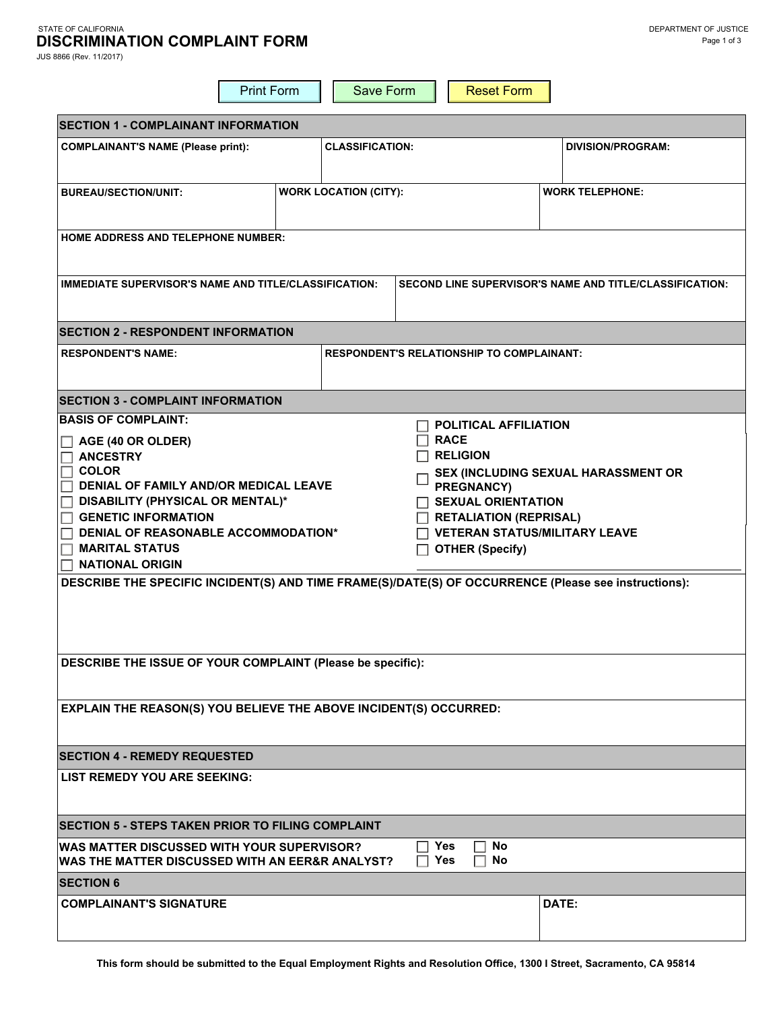### STATE OF CALIFORNIA DEPARTMENT OF JUSTICE **DISCRIMINATION COMPLAINT FORM**

JUS 8866 (Rev. 11/2017)

|                                                                                                                                                                                                                                                                                                                                                                                                                                                                                                                                                                                                                                                                             | <b>Print Form</b>            | Save Form |  | <b>Reset Form</b> |                          |
|-----------------------------------------------------------------------------------------------------------------------------------------------------------------------------------------------------------------------------------------------------------------------------------------------------------------------------------------------------------------------------------------------------------------------------------------------------------------------------------------------------------------------------------------------------------------------------------------------------------------------------------------------------------------------------|------------------------------|-----------|--|-------------------|--------------------------|
| <b>SECTION 1 - COMPLAINANT INFORMATION</b>                                                                                                                                                                                                                                                                                                                                                                                                                                                                                                                                                                                                                                  |                              |           |  |                   |                          |
| <b>CLASSIFICATION:</b><br><b>COMPLAINANT'S NAME (Please print):</b>                                                                                                                                                                                                                                                                                                                                                                                                                                                                                                                                                                                                         |                              |           |  |                   | <b>DIVISION/PROGRAM:</b> |
| <b>BUREAU/SECTION/UNIT:</b>                                                                                                                                                                                                                                                                                                                                                                                                                                                                                                                                                                                                                                                 | <b>WORK LOCATION (CITY):</b> |           |  |                   | <b>WORK TELEPHONE:</b>   |
| <b>HOME ADDRESS AND TELEPHONE NUMBER:</b>                                                                                                                                                                                                                                                                                                                                                                                                                                                                                                                                                                                                                                   |                              |           |  |                   |                          |
| <b>IMMEDIATE SUPERVISOR'S NAME AND TITLE/CLASSIFICATION:</b><br><b>SECOND LINE SUPERVISOR'S NAME AND TITLE/CLASSIFICATION:</b>                                                                                                                                                                                                                                                                                                                                                                                                                                                                                                                                              |                              |           |  |                   |                          |
| <b>SECTION 2 - RESPONDENT INFORMATION</b>                                                                                                                                                                                                                                                                                                                                                                                                                                                                                                                                                                                                                                   |                              |           |  |                   |                          |
| <b>RESPONDENT'S RELATIONSHIP TO COMPLAINANT:</b><br><b>RESPONDENT'S NAME:</b>                                                                                                                                                                                                                                                                                                                                                                                                                                                                                                                                                                                               |                              |           |  |                   |                          |
| <b>SECTION 3 - COMPLAINT INFORMATION</b>                                                                                                                                                                                                                                                                                                                                                                                                                                                                                                                                                                                                                                    |                              |           |  |                   |                          |
| <b>BASIS OF COMPLAINT:</b><br><b>POLITICAL AFFILIATION</b><br><b>RACE</b><br>$\Box$ AGE (40 OR OLDER)<br>$\Box$ religion<br>$\Box$ ANCESTRY<br><b>COLOR</b><br><b>SEX (INCLUDING SEXUAL HARASSMENT OR</b><br>DENIAL OF FAMILY AND/OR MEDICAL LEAVE<br>PREGNANCY)<br>$\Box$ DISABILITY (PHYSICAL OR MENTAL)*<br><b>SEXUAL ORIENTATION</b><br><b>GENETIC INFORMATION</b><br><b>RETALIATION (REPRISAL)</b><br>DENIAL OF REASONABLE ACCOMMODATION*<br><b>VETERAN STATUS/MILITARY LEAVE</b><br>$\Box$ MARITAL STATUS<br><b>OTHER (Specify)</b><br>$\Box$ NATIONAL ORIGIN<br>DESCRIBE THE SPECIFIC INCIDENT(S) AND TIME FRAME(S)/DATE(S) OF OCCURRENCE (Please see instructions): |                              |           |  |                   |                          |
| DESCRIBE THE ISSUE OF YOUR COMPLAINT (Please be specific):                                                                                                                                                                                                                                                                                                                                                                                                                                                                                                                                                                                                                  |                              |           |  |                   |                          |
| <b>EXPLAIN THE REASON(S) YOU BELIEVE THE ABOVE INCIDENT(S) OCCURRED:</b>                                                                                                                                                                                                                                                                                                                                                                                                                                                                                                                                                                                                    |                              |           |  |                   |                          |
| <b>SECTION 4 - REMEDY REQUESTED</b>                                                                                                                                                                                                                                                                                                                                                                                                                                                                                                                                                                                                                                         |                              |           |  |                   |                          |
| LIST REMEDY YOU ARE SEEKING:                                                                                                                                                                                                                                                                                                                                                                                                                                                                                                                                                                                                                                                |                              |           |  |                   |                          |
| <b>SECTION 5 - STEPS TAKEN PRIOR TO FILING COMPLAINT</b>                                                                                                                                                                                                                                                                                                                                                                                                                                                                                                                                                                                                                    |                              |           |  |                   |                          |
| <b>Yes</b><br>No<br>WAS MATTER DISCUSSED WITH YOUR SUPERVISOR?<br><b>Yes</b><br>WAS THE MATTER DISCUSSED WITH AN EER&R ANALYST?<br>No                                                                                                                                                                                                                                                                                                                                                                                                                                                                                                                                       |                              |           |  |                   |                          |
| <b>SECTION 6</b>                                                                                                                                                                                                                                                                                                                                                                                                                                                                                                                                                                                                                                                            |                              |           |  |                   |                          |
| <b>COMPLAINANT'S SIGNATURE</b>                                                                                                                                                                                                                                                                                                                                                                                                                                                                                                                                                                                                                                              |                              |           |  |                   | DATE:                    |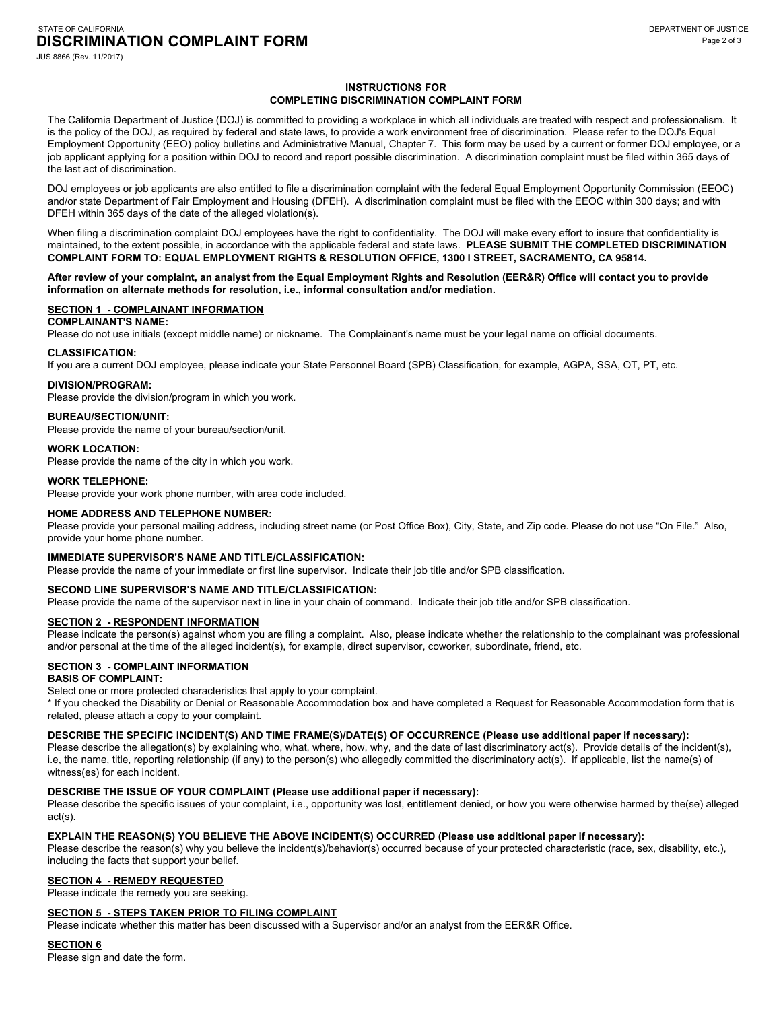#### STATE OF CALIFORNIA DEPARTMENT OF JUSTICE AND STATE OF CALIFORNIA DEPARTMENT OF JUSTICE **DISCRIMINATION COMPLAINT FORM**

JUS 8866 (Rev. 11/2017)

### **INSTRUCTIONS FOR COMPLETING DISCRIMINATION COMPLAINT FORM**

The California Department of Justice (DOJ) is committed to providing a workplace in which all individuals are treated with respect and professionalism. It is the policy of the DOJ, as required by federal and state laws, to provide a work environment free of discrimination. Please refer to the DOJ's Equal Employment Opportunity (EEO) policy bulletins and Administrative Manual, Chapter 7. This form may be used by a current or former DOJ employee, or a job applicant applying for a position within DOJ to record and report possible discrimination. A discrimination complaint must be filed within 365 days of the last act of discrimination.

 DOJ employees or job applicants are also entitled to file a discrimination complaint with the federal Equal Employment Opportunity Commission (EEOC) and/or state Department of Fair Employment and Housing (DFEH). A discrimination complaint must be filed with the EEOC within 300 days; and with DFEH within 365 days of the date of the alleged violation(s).

 When filing a discrimination complaint DOJ employees have the right to confidentiality. The DOJ will make every effort to insure that confidentiality is maintained, to the extent possible, in accordance with the applicable federal and state laws. **PLEASE SUBMIT THE COMPLETED DISCRIMINATION COMPLAINT FORM TO: EQUAL EMPLOYMENT RIGHTS & RESOLUTION OFFICE, 1300 I STREET, SACRAMENTO, CA 95814.** 

### **After review of your complaint, an analyst from the Equal Employment Rights and Resolution (EER&R) Office will contact you to provide information on alternate methods for resolution, i.e., informal consultation and/or mediation.**

### **SECTION 1 - COMPLAINANT INFORMATION**

**COMPLAINANT'S NAME:** 

Please do not use initials (except middle name) or nickname. The Complainant's name must be your legal name on official documents.

### **CLASSIFICATION:**

If you are a current DOJ employee, please indicate your State Personnel Board (SPB) Classification, for example, AGPA, SSA, OT, PT, etc.

## **DIVISION/PROGRAM:**

Please provide the division/program in which you work.

### **BUREAU/SECTION/UNIT:**

Please provide the name of your bureau/section/unit.

#### **WORK LOCATION:**

Please provide the name of the city in which you work.

#### **WORK TELEPHONE:**

Please provide your work phone number, with area code included.

### **HOME ADDRESS AND TELEPHONE NUMBER:**

Please provide your personal mailing address, including street name (or Post Office Box), City, State, and Zip code. Please do not use "On File." Also, provide your home phone number.

### **IMMEDIATE SUPERVISOR'S NAME AND TITLE/CLASSIFICATION:**

Please provide the name of your immediate or first line supervisor. Indicate their job title and/or SPB classification.

### **SECOND LINE SUPERVISOR'S NAME AND TITLE/CLASSIFICATION:**

Please provide the name of the supervisor next in line in your chain of command. Indicate their job title and/or SPB classification.

## **SECTION 2 - RESPONDENT INFORMATION**

Please indicate the person(s) against whom you are filing a complaint. Also, please indicate whether the relationship to the complainant was professional and/or personal at the time of the alleged incident(s), for example, direct supervisor, coworker, subordinate, friend, etc.

### **SECTION 3 - COMPLAINT INFORMATION**

### **BASIS OF COMPLAINT:**

Select one or more protected characteristics that apply to your complaint.

\* If you checked the Disability or Denial or Reasonable Accommodation box and have completed a Request for Reasonable Accommodation form that is related, please attach a copy to your complaint.

#### **DESCRIBE THE SPECIFIC INCIDENT(S) AND TIME FRAME(S)/DATE(S) OF OCCURRENCE (Please use additional paper if necessary):**

Please describe the allegation(s) by explaining who, what, where, how, why, and the date of last discriminatory act(s). Provide details of the incident(s), i.e, the name, title, reporting relationship (if any) to the person(s) who allegedly committed the discriminatory act(s). If applicable, list the name(s) of witness(es) for each incident.

# **DESCRIBE THE ISSUE OF YOUR COMPLAINT (Please use additional paper if necessary):**

Please describe the specific issues of your complaint, i.e., opportunity was lost, entitlement denied, or how you were otherwise harmed by the(se) alleged act(s).

# **EXPLAIN THE REASON(S) YOU BELIEVE THE ABOVE INCIDENT(S) OCCURRED (Please use additional paper if necessary):**

Please describe the reason(s) why you believe the incident(s)/behavior(s) occurred because of your protected characteristic (race, sex, disability, etc.), including the facts that support your belief.

### **SECTION 4 - REMEDY REQUESTED**

Please indicate the remedy you are seeking.

## **SECTION 5 - STEPS TAKEN PRIOR TO FILING COMPLAINT**

Please indicate whether this matter has been discussed with a Supervisor and/or an analyst from the EER&R Office.

#### **SECTION 6**

Please sign and date the form.